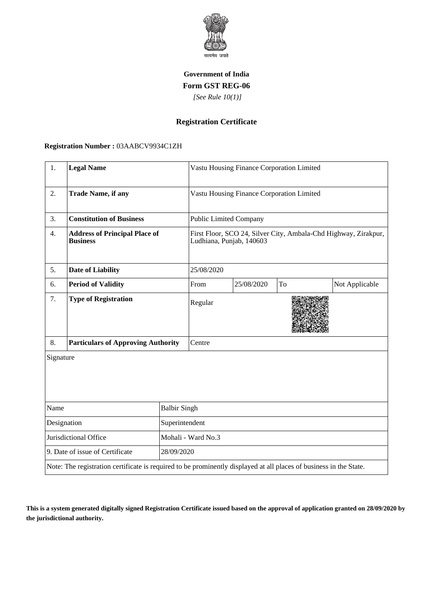

## **Government of India Form GST REG-06**

 *[See Rule 10(1)]*

# **Registration Certificate**

### **Registration Number :** 03AABCV9934C1ZH

| 1.                                            | <b>Legal Name</b>                                                                                                  |                                           | Vastu Housing Finance Corporation Limited                                                   |            |    |                |  |
|-----------------------------------------------|--------------------------------------------------------------------------------------------------------------------|-------------------------------------------|---------------------------------------------------------------------------------------------|------------|----|----------------|--|
| 2.                                            | <b>Trade Name, if any</b>                                                                                          | Vastu Housing Finance Corporation Limited |                                                                                             |            |    |                |  |
| 3.                                            | <b>Constitution of Business</b>                                                                                    |                                           | <b>Public Limited Company</b>                                                               |            |    |                |  |
| 4.                                            | <b>Address of Principal Place of</b><br><b>Business</b>                                                            |                                           | First Floor, SCO 24, Silver City, Ambala-Chd Highway, Zirakpur,<br>Ludhiana, Punjab, 140603 |            |    |                |  |
| 5.                                            | <b>Date of Liability</b>                                                                                           | 25/08/2020                                |                                                                                             |            |    |                |  |
| 6.                                            | <b>Period of Validity</b>                                                                                          |                                           | From                                                                                        | 25/08/2020 | To | Not Applicable |  |
| 7.                                            | <b>Type of Registration</b>                                                                                        |                                           | Regular                                                                                     |            |    |                |  |
| 8.                                            | <b>Particulars of Approving Authority</b>                                                                          |                                           | Centre                                                                                      |            |    |                |  |
| Signature                                     |                                                                                                                    |                                           |                                                                                             |            |    |                |  |
| Name<br><b>Balbir Singh</b>                   |                                                                                                                    |                                           |                                                                                             |            |    |                |  |
| Designation<br>Superintendent                 |                                                                                                                    |                                           |                                                                                             |            |    |                |  |
| Jurisdictional Office                         |                                                                                                                    | Mohali - Ward No.3                        |                                                                                             |            |    |                |  |
| 9. Date of issue of Certificate<br>28/09/2020 |                                                                                                                    |                                           |                                                                                             |            |    |                |  |
|                                               | Note: The registration certificate is required to be prominently displayed at all places of business in the State. |                                           |                                                                                             |            |    |                |  |

**This is a system generated digitally signed Registration Certificate issued based on the approval of application granted on 28/09/2020 by the jurisdictional authority.**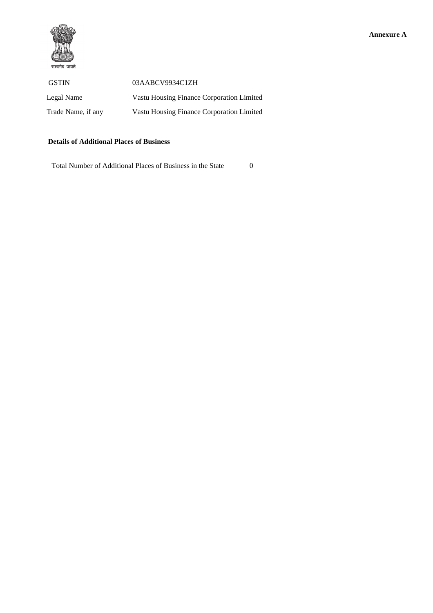

| <b>GSTIN</b>       | 03AABCV9934C1ZH                           |
|--------------------|-------------------------------------------|
| Legal Name         | Vastu Housing Finance Corporation Limited |
| Trade Name, if any | Vastu Housing Finance Corporation Limited |

### **Details of Additional Places of Business**

Total Number of Additional Places of Business in the State 0